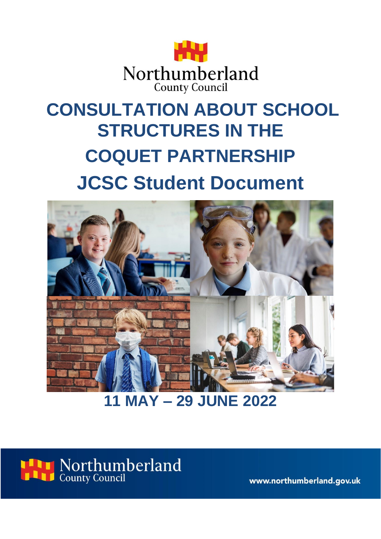

# **CONSULTATION ABOUT SCHOOL STRUCTURES IN THE COQUET PARTNERSHIP JCSC Student Document**



**11 MAY – 29 JUNE 2022**



www.northumberland.gov.uk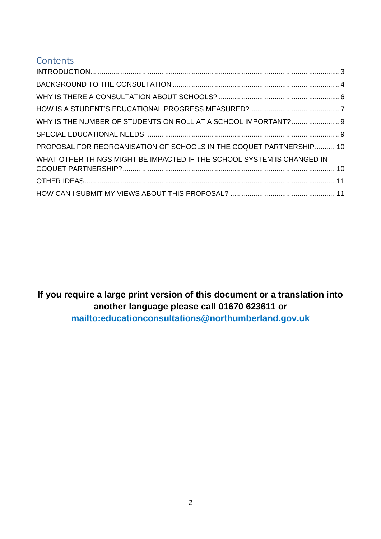# **Contents**

| WHY IS THE NUMBER OF STUDENTS ON ROLL AT A SCHOOL IMPORTANT?  9        |  |
|------------------------------------------------------------------------|--|
|                                                                        |  |
| PROPOSAL FOR REORGANISATION OF SCHOOLS IN THE COQUET PARTNERSHIP10     |  |
| WHAT OTHER THINGS MIGHT BE IMPACTED IF THE SCHOOL SYSTEM IS CHANGED IN |  |
|                                                                        |  |
|                                                                        |  |

**If you require a large print version of this document or a translation into another language please call 01670 623611 or mailto:educationconsultations@northumberland.gov.uk**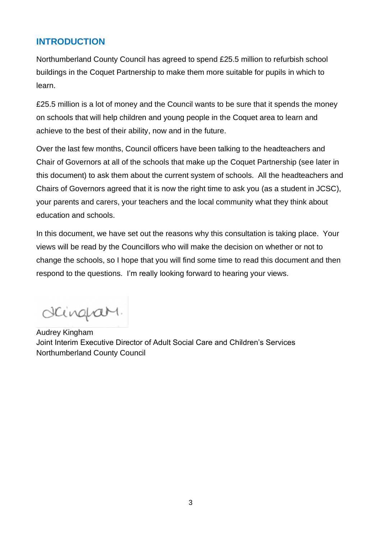# <span id="page-2-0"></span>**INTRODUCTION**

Northumberland County Council has agreed to spend £25.5 million to refurbish school buildings in the Coquet Partnership to make them more suitable for pupils in which to learn.

£25.5 million is a lot of money and the Council wants to be sure that it spends the money on schools that will help children and young people in the Coquet area to learn and achieve to the best of their ability, now and in the future.

Over the last few months, Council officers have been talking to the headteachers and Chair of Governors at all of the schools that make up the Coquet Partnership (see later in this document) to ask them about the current system of schools. All the headteachers and Chairs of Governors agreed that it is now the right time to ask you (as a student in JCSC), your parents and carers, your teachers and the local community what they think about education and schools.

In this document, we have set out the reasons why this consultation is taking place. Your views will be read by the Councillors who will make the decision on whether or not to change the schools, so I hope that you will find some time to read this document and then respond to the questions. I'm really looking forward to hearing your views.

dcinquary.

Audrey Kingham Joint Interim Executive Director of Adult Social Care and Children's Services Northumberland County Council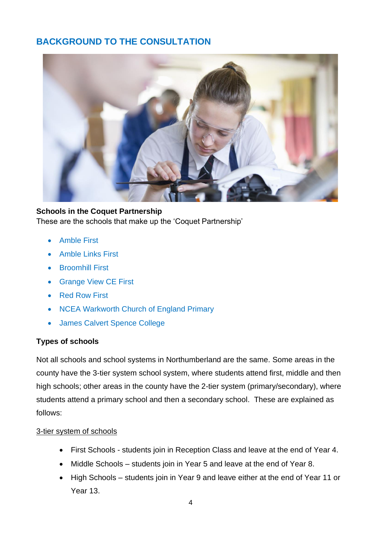# <span id="page-3-0"></span>**BACKGROUND TO THE CONSULTATION**



**Schools in the Coquet Partnership** These are the schools that make up the 'Coquet Partnership'

- Amble First
- Amble Links First
- Broomhill First
- Grange View CE First
- Red Row First
- NCEA Warkworth Church of England Primary
- James Calvert Spence College

#### **Types of schools**

Not all schools and school systems in Northumberland are the same. Some areas in the county have the 3-tier system school system, where students attend first, middle and then high schools; other areas in the county have the 2-tier system (primary/secondary), where students attend a primary school and then a secondary school. These are explained as follows:

#### 3-tier system of schools

- First Schools students join in Reception Class and leave at the end of Year 4.
- Middle Schools students join in Year 5 and leave at the end of Year 8.
- High Schools students join in Year 9 and leave either at the end of Year 11 or Year 13.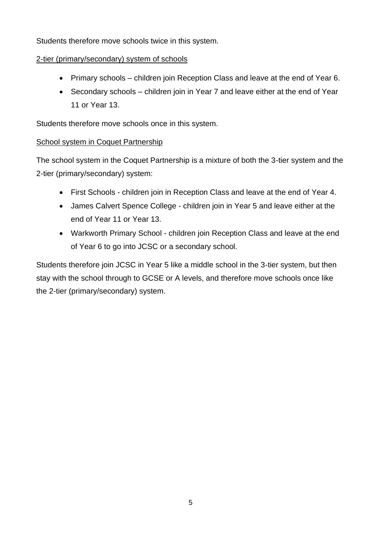Students therefore move schools twice in this system.

#### 2-tier (primary/secondary) system of schools

- Primary schools children join Reception Class and leave at the end of Year 6.
- Secondary schools children join in Year 7 and leave either at the end of Year 11 or Year 13.

Students therefore move schools once in this system.

#### School system in Coquet Partnership

The school system in the Coquet Partnership is a mixture of both the 3-tier system and the 2-tier (primary/secondary) system:

- First Schools children join in Reception Class and leave at the end of Year 4.
- James Calvert Spence College children join in Year 5 and leave either at the end of Year 11 or Year 13.
- Warkworth Primary School children join Reception Class and leave at the end of Year 6 to go into JCSC or a secondary school.

Students therefore join JCSC in Year 5 like a middle school in the 3-tier system, but then stay with the school through to GCSE or A levels, and therefore move schools once like the 2-tier (primary/secondary) system.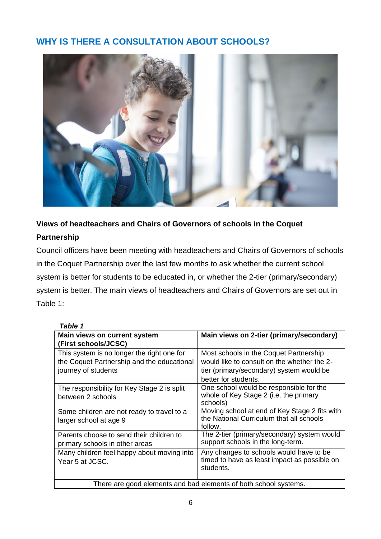# <span id="page-5-0"></span>**WHY IS THERE A CONSULTATION ABOUT SCHOOLS?**



# **Views of headteachers and Chairs of Governors of schools in the Coquet Partnership**

Council officers have been meeting with headteachers and Chairs of Governors of schools in the Coquet Partnership over the last few months to ask whether the current school system is better for students to be educated in, or whether the 2-tier (primary/secondary) system is better. The main views of headteachers and Chairs of Governors are set out in Table 1:

#### *Table 1*

| <b>Main views on current system</b><br>(First schools/JCSC)                                                     | Main views on 2-tier (primary/secondary)                                                                                                                  |  |
|-----------------------------------------------------------------------------------------------------------------|-----------------------------------------------------------------------------------------------------------------------------------------------------------|--|
| This system is no longer the right one for<br>the Coquet Partnership and the educational<br>journey of students | Most schools in the Coquet Partnership<br>would like to consult on the whether the 2-<br>tier (primary/secondary) system would be<br>better for students. |  |
| The responsibility for Key Stage 2 is split<br>between 2 schools                                                | One school would be responsible for the<br>whole of Key Stage 2 (i.e. the primary<br>schools)                                                             |  |
| Some children are not ready to travel to a<br>larger school at age 9                                            | Moving school at end of Key Stage 2 fits with<br>the National Curriculum that all schools<br>follow.                                                      |  |
| Parents choose to send their children to<br>primary schools in other areas                                      | The 2-tier (primary/secondary) system would<br>support schools in the long-term.                                                                          |  |
| Many children feel happy about moving into<br>Year 5 at JCSC.                                                   | Any changes to schools would have to be<br>timed to have as least impact as possible on<br>students.                                                      |  |
| There are good elements and bad elements of both school systems.                                                |                                                                                                                                                           |  |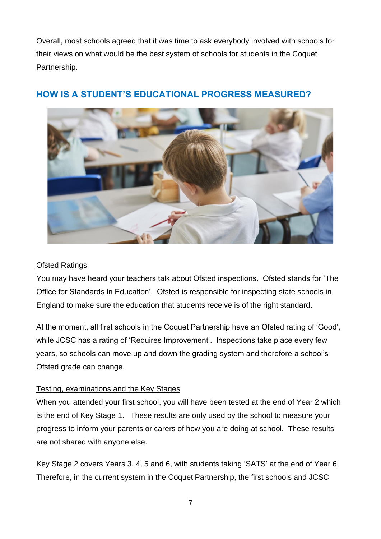Overall, most schools agreed that it was time to ask everybody involved with schools for their views on what would be the best system of schools for students in the Coquet Partnership.



# <span id="page-6-0"></span>**HOW IS A STUDENT'S EDUCATIONAL PROGRESS MEASURED?**

#### Ofsted Ratings

You may have heard your teachers talk about Ofsted inspections. Ofsted stands for 'The Office for Standards in Education'. Ofsted is responsible for inspecting state schools in England to make sure the education that students receive is of the right standard.

At the moment, all first schools in the Coquet Partnership have an Ofsted rating of 'Good', while JCSC has a rating of 'Requires Improvement'. Inspections take place every few years, so schools can move up and down the grading system and therefore a school's Ofsted grade can change.

#### Testing, examinations and the Key Stages

When you attended your first school, you will have been tested at the end of Year 2 which is the end of Key Stage 1. These results are only used by the school to measure your progress to inform your parents or carers of how you are doing at school. These results are not shared with anyone else.

Key Stage 2 covers Years 3, 4, 5 and 6, with students taking 'SATS' at the end of Year 6. Therefore, in the current system in the Coquet Partnership, the first schools and JCSC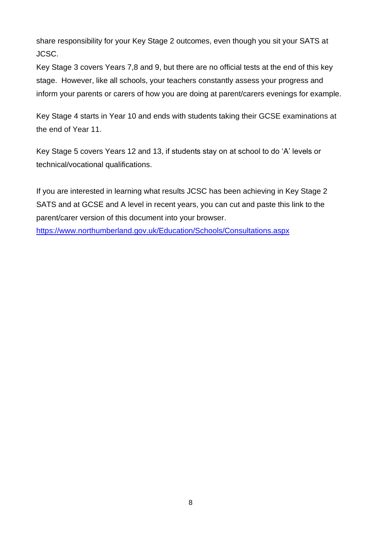share responsibility for your Key Stage 2 outcomes, even though you sit your SATS at JCSC.

Key Stage 3 covers Years 7,8 and 9, but there are no official tests at the end of this key stage. However, like all schools, your teachers constantly assess your progress and inform your parents or carers of how you are doing at parent/carers evenings for example.

Key Stage 4 starts in Year 10 and ends with students taking their GCSE examinations at the end of Year 11.

Key Stage 5 covers Years 12 and 13, if students stay on at school to do 'A' levels or technical/vocational qualifications.

If you are interested in learning what results JCSC has been achieving in Key Stage 2 SATS and at GCSE and A level in recent years, you can cut and paste this link to the parent/carer version of this document into your browser.

[https://www.northumberland.gov.uk/Education/Schools/Consultations.aspx](https://gbr01.safelinks.protection.outlook.com/?url=https%3A%2F%2Fwww.northumberland.gov.uk%2FEducation%2FSchools%2FConsultations.aspx&data=05%7C01%7CLorraine.Fife%40northumberland.gov.uk%7Cc110c0b0505241e5607408da33368272%7Cbb13a9de829042f0a980dc3bdfe70f40%7C0%7C0%7C637878606442812159%7CUnknown%7CTWFpbGZsb3d8eyJWIjoiMC4wLjAwMDAiLCJQIjoiV2luMzIiLCJBTiI6Ik1haWwiLCJXVCI6Mn0%3D%7C3000%7C%7C%7C&sdata=U4edrk8wM9%2FR1F%2BAK7AhmnnJr3z6VI9Wpud%2BJvp7pl4%3D&reserved=0)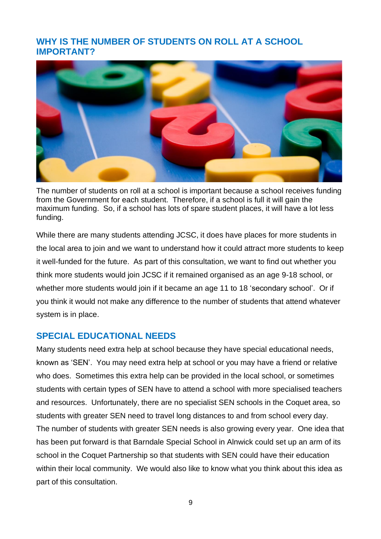## <span id="page-8-0"></span>**WHY IS THE NUMBER OF STUDENTS ON ROLL AT A SCHOOL IMPORTANT?**



The number of students on roll at a school is important because a school receives funding from the Government for each student. Therefore, if a school is full it will gain the maximum funding. So, if a school has lots of spare student places, it will have a lot less funding.

While there are many students attending JCSC, it does have places for more students in the local area to join and we want to understand how it could attract more students to keep it well-funded for the future. As part of this consultation, we want to find out whether you think more students would join JCSC if it remained organised as an age 9-18 school, or whether more students would join if it became an age 11 to 18 'secondary school'. Or if you think it would not make any difference to the number of students that attend whatever system is in place.

#### <span id="page-8-1"></span>**SPECIAL EDUCATIONAL NEEDS**

Many students need extra help at school because they have special educational needs, known as 'SEN'. You may need extra help at school or you may have a friend or relative who does. Sometimes this extra help can be provided in the local school, or sometimes students with certain types of SEN have to attend a school with more specialised teachers and resources. Unfortunately, there are no specialist SEN schools in the Coquet area, so students with greater SEN need to travel long distances to and from school every day. The number of students with greater SEN needs is also growing every year. One idea that has been put forward is that Barndale Special School in Alnwick could set up an arm of its school in the Coquet Partnership so that students with SEN could have their education within their local community. We would also like to know what you think about this idea as part of this consultation.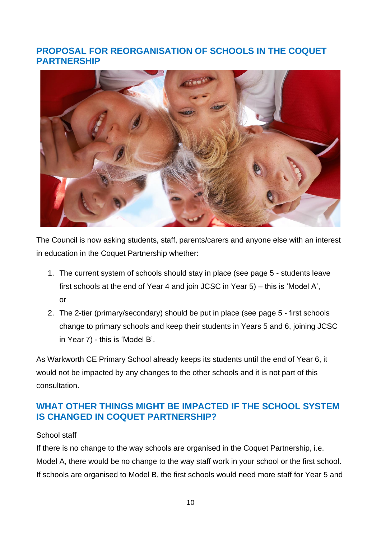## <span id="page-9-0"></span>**PROPOSAL FOR REORGANISATION OF SCHOOLS IN THE COQUET PARTNERSHIP**



The Council is now asking students, staff, parents/carers and anyone else with an interest in education in the Coquet Partnership whether:

- 1. The current system of schools should stay in place (see page 5 students leave first schools at the end of Year 4 and join JCSC in Year 5) – this is 'Model A', or
- 2. The 2-tier (primary/secondary) should be put in place (see page 5 first schools change to primary schools and keep their students in Years 5 and 6, joining JCSC in Year 7) - this is 'Model B'.

As Warkworth CE Primary School already keeps its students until the end of Year 6, it would not be impacted by any changes to the other schools and it is not part of this consultation.

## <span id="page-9-1"></span>**WHAT OTHER THINGS MIGHT BE IMPACTED IF THE SCHOOL SYSTEM IS CHANGED IN COQUET PARTNERSHIP?**

#### School staff

If there is no change to the way schools are organised in the Coquet Partnership, i.e. Model A, there would be no change to the way staff work in your school or the first school. If schools are organised to Model B, the first schools would need more staff for Year 5 and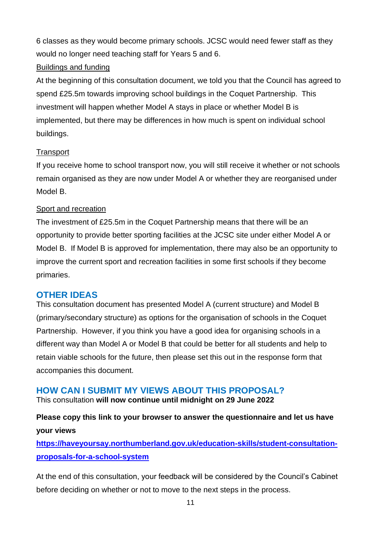6 classes as they would become primary schools. JCSC would need fewer staff as they would no longer need teaching staff for Years 5 and 6.

#### Buildings and funding

At the beginning of this consultation document, we told you that the Council has agreed to spend £25.5m towards improving school buildings in the Coquet Partnership. This investment will happen whether Model A stays in place or whether Model B is implemented, but there may be differences in how much is spent on individual school buildings.

## **Transport**

If you receive home to school transport now, you will still receive it whether or not schools remain organised as they are now under Model A or whether they are reorganised under Model B.

## Sport and recreation

The investment of £25.5m in the Coquet Partnership means that there will be an opportunity to provide better sporting facilities at the JCSC site under either Model A or Model B. If Model B is approved for implementation, there may also be an opportunity to improve the current sport and recreation facilities in some first schools if they become primaries.

# <span id="page-10-0"></span>**OTHER IDEAS**

This consultation document has presented Model A (current structure) and Model B (primary/secondary structure) as options for the organisation of schools in the Coquet Partnership. However, if you think you have a good idea for organising schools in a different way than Model A or Model B that could be better for all students and help to retain viable schools for the future, then please set this out in the response form that accompanies this document.

# <span id="page-10-1"></span>**HOW CAN I SUBMIT MY VIEWS ABOUT THIS PROPOSAL?**

This consultation **will now continue until midnight on 29 June 2022** 

**Please copy this link to your browser to answer the questionnaire and let us have your views**

**[https://haveyoursay.northumberland.gov.uk/education-skills/student-consultation](https://haveyoursay.northumberland.gov.uk/education-skills/student-consultation-proposals-for-a-school-system)[proposals-for-a-school-system](https://haveyoursay.northumberland.gov.uk/education-skills/student-consultation-proposals-for-a-school-system)**

At the end of this consultation, your feedback will be considered by the Council's Cabinet before deciding on whether or not to move to the next steps in the process.